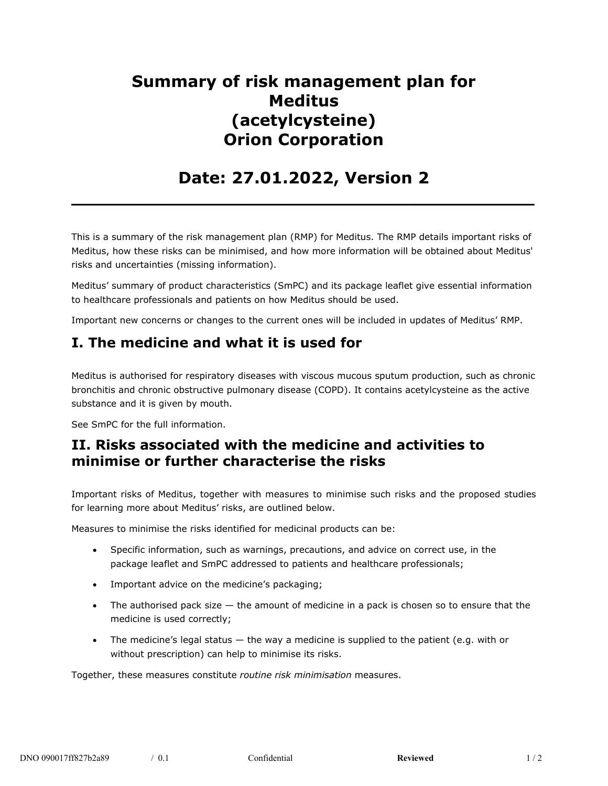# **Summary of risk management plan for Meditus (acetylcysteine) Orion Corporation**

## **Date: 27.01.2022, Version 2**

**\_\_\_\_\_\_\_\_\_\_\_\_\_\_\_\_\_\_\_\_\_\_\_\_\_\_\_\_\_\_\_\_\_\_\_\_\_\_\_\_\_**

This is a summary of the risk management plan (RMP) for Meditus. The RMP details important risks of Meditus, how these risks can be minimised, and how more information will be obtained about Meditus' risks and uncertainties (missing information).

Meditus' summary of product characteristics (SmPC) and its package leaflet give essential information to healthcare professionals and patients on how Meditus should be used.

Important new concerns or changes to the current ones will be included in updates of Meditus' RMP.

## **I. The medicine and what it is used for**

Meditus is authorised for respiratory diseases with viscous mucous sputum production, such as chronic bronchitis and chronic obstructive pulmonary disease (COPD). It contains acetylcysteine as the active substance and it is given by mouth.

See SmPC for the full information.

### **II. Risks associated with the medicine and activities to minimise or further characterise the risks**

Important risks of Meditus, together with measures to minimise such risks and the proposed studies for learning more about Meditus' risks, are outlined below.

Measures to minimise the risks identified for medicinal products can be:

- Specific information, such as warnings, precautions, and advice on correct use, in the package leaflet and SmPC addressed to patients and healthcare professionals;
- Important advice on the medicine's packaging;
- The authorised pack size the amount of medicine in a pack is chosen so to ensure that the medicine is used correctly;
- $\bullet$  The medicine's legal status  $-$  the way a medicine is supplied to the patient (e.g. with or without prescription) can help to minimise its risks.

Together, these measures constitute *routine risk minimisation* measures.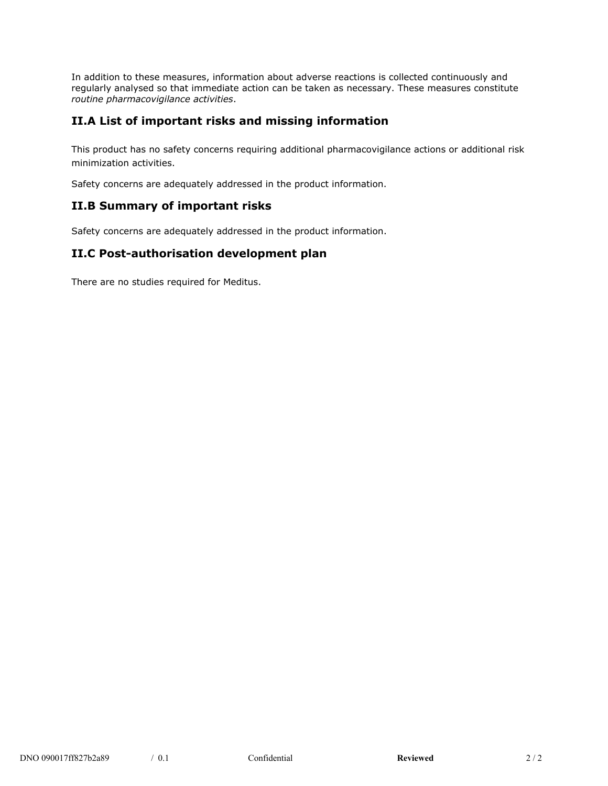In addition to these measures, information about adverse reactions is collected continuously and regularly analysed so that immediate action can be taken as necessary. These measures constitute *routine pharmacovigilance activities*.

#### **II.A List of important risks and missing information**

This product has no safety concerns requiring additional pharmacovigilance actions or additional risk minimization activities.

Safety concerns are adequately addressed in the product information.

#### **II.B Summary of important risks**

Safety concerns are adequately addressed in the product information.

#### **II.C Post-authorisation development plan**

There are no studies required for Meditus.